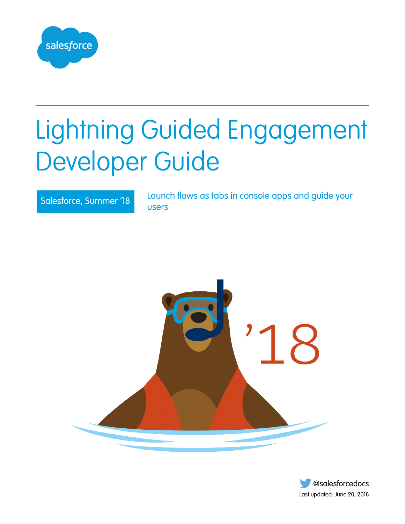

# Lightning Guided Engagement Developer Guide

Salesforce, Summer '18 Launch flows as tabs in console apps and guide your users



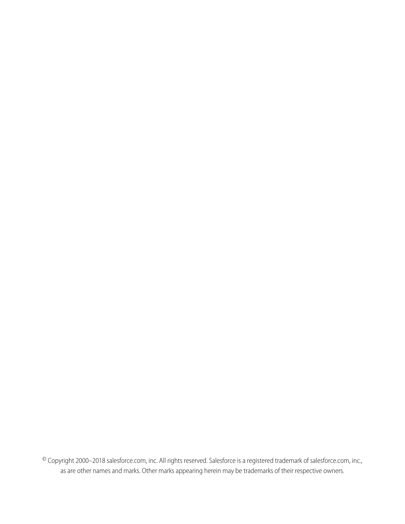© Copyright 2000–2018 salesforce.com, inc. All rights reserved. Salesforce is a registered trademark of salesforce.com, inc., as are other names and marks. Other marks appearing herein may be trademarks of their respective owners.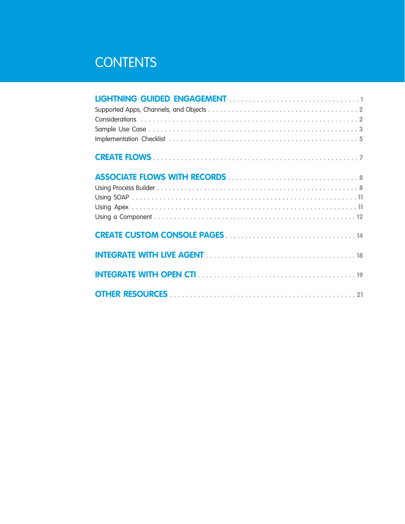# **CONTENTS**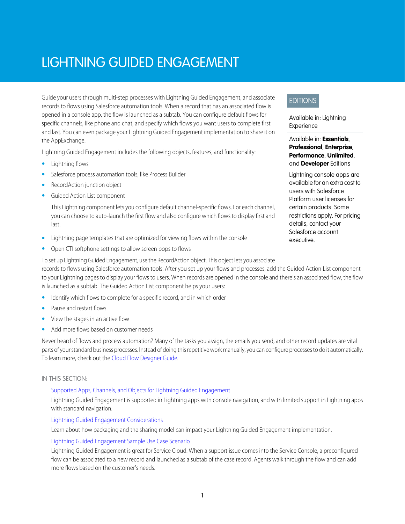# <span id="page-4-0"></span>LIGHTNING GUIDED ENGAGEMENT

Guide your users through multi-step processes with Lightning Guided Engagement, and associate records to flows using Salesforce automation tools. When a record that has an associated flow is opened in a console app, the flow is launched as a subtab. You can configure default flows for specific channels, like phone and chat, and specify which flows you want users to complete first and last. You can even package your Lightning Guided Engagement implementation to share it on the AppExchange.

Lightning Guided Engagement includes the following objects, features, and functionality:

- **•** Lightning flows
- **•** Salesforce process automation tools, like Process Builder
- **•** RecordAction junction object
- **•** Guided Action List component

This Lightning component lets you configure default channel-specific flows. For each channel, you can choose to auto-launch the first flow and also configure which flows to display first and last.

- **•** Lightning page templates that are optimized for viewing flows within the console
- **•** Open CTI softphone settings to allow screen pops to flows

### EDITIONS

Available in: Lightning Experience

Available in: **Essentials**, **Professional**, **Enterprise**, **Performance**, **Unlimited**, and **Developer** Editions

Lightning console apps are available for an extra cost to users with Salesforce Platform user licenses for certain products. Some restrictions apply. For pricing details, contact your Salesforce account executive.

To set up Lightning Guided Engagement, use the RecordAction object. This object lets you associate records to flows using Salesforce automation tools. After you set up your flows and processes, add the Guided Action List component to your Lightning pages to display your flows to users. When records are opened in the console and there's an associated flow, the flow is launched as a subtab. The Guided Action List component helps your users:

- **•** Identify which flows to complete for a specific record, and in which order
- **•** Pause and restart flows
- **•** View the stages in an active flow
- **•** Add more flows based on customer needs

Never heard of flows and process automation? Many of the tasks you assign, the emails you send, and other record updates are vital parts of your standard business processes. Instead of doing this repetitive work manually, you can configure processes to do it automatically. To learn more, check out the [Cloud Flow Designer Guide](https://developer.salesforce.com/docs/atlas.en-us.214.0.salesforce_vpm_guide.meta/salesforce_vpm_guide/vpm_intro.htm).

#### IN THIS SECTION:

### [Supported Apps, Channels, and Objects for Lightning Guided Engagement](#page-5-0)

Lightning Guided Engagement is supported in Lightning apps with console navigation, and with limited support in Lightning apps with standard navigation.

### [Lightning Guided Engagement Considerations](#page-5-1)

Learn about how packaging and the sharing model can impact your Lightning Guided Engagement implementation.

#### [Lightning Guided Engagement Sample Use Case Scenario](#page-6-0)

Lightning Guided Engagement is great for Service Cloud. When a support issue comes into the Service Console, a preconfigured flow can be associated to a new record and launched as a subtab of the case record. Agents walk through the flow and can add more flows based on the customer's needs.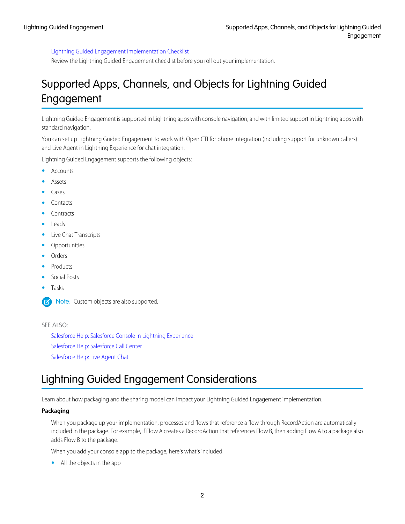### [Lightning Guided Engagement Implementation Checklist](#page-8-0)

Review the Lightning Guided Engagement checklist before you roll out your implementation.

### <span id="page-5-0"></span>Supported Apps, Channels, and Objects for Lightning Guided Engagement

Lightning Guided Engagement is supported in Lightning apps with console navigation, and with limited support in Lightning apps with standard navigation.

You can set up Lightning Guided Engagement to work with Open CTI for phone integration (including support for unknown callers) and Live Agent in Lightning Experience for chat integration.

Lightning Guided Engagement supports the following objects:

- **•** Accounts
- **•** Assets
- **•** Cases
- **•** Contacts
- **•** Contracts
- **•** Leads
- **•** Live Chat Transcripts
- **•** Opportunities
- **•** Orders
- **•** Products
- **•** Social Posts
- **•** Tasks

Note: Custom objects are also supported. び

### <span id="page-5-1"></span>SEE ALSO:

[Salesforce Help: Salesforce Console in Lightning Experience](https://help.salesforce.com/articleView?id=console_lex_intro.htm&language=en_US) [Salesforce Help: Salesforce Call Center](https://help.salesforce.com/articleView?id=cti_overview.htm&language=en_US) [Salesforce Help: Live Agent Chat](https://help.salesforce.com/articleView?id=live_agent_intro.htm&language=en_US)

### Lightning Guided Engagement Considerations

Learn about how packaging and the sharing model can impact your Lightning Guided Engagement implementation.

### **Packaging**

When you package up your implementation, processes and flows that reference a flow through RecordAction are automatically included in the package. For example, if Flow A creates a RecordAction that references Flow B, then adding Flow A to a package also adds Flow B to the package.

When you add your console app to the package, here's what's included:

**•** All the objects in the app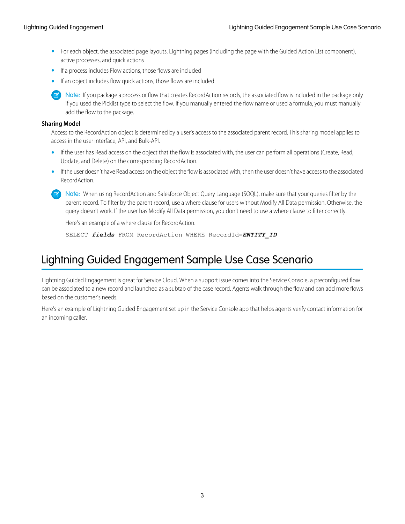- **•** For each object, the associated page layouts, Lightning pages (including the page with the Guided Action List component), active processes, and quick actions
- **•** If a process includes Flow actions, those flows are included
- **•** If an object includes flow quick actions, those flows are included

Note: If you package a process or flow that creates RecordAction records, the associated flow is included in the package only if you used the Picklist type to select the flow. If you manually entered the flow name or used a formula, you must manually add the flow to the package.

### **Sharing Model**

Access to the RecordAction object is determined by a user's access to the associated parent record. This sharing model applies to access in the user interface, API, and Bulk-API.

- If the user has Read access on the object that the flow is associated with, the user can perform all operations (Create, Read, Update, and Delete) on the corresponding RecordAction.
- **•** If the user doesn't have Read access on the object the flow is associated with, then the user doesn't have access to the associated RecordAction.
- Note: When using RecordAction and Salesforce Object Query Language (SOQL), make sure that your queries filter by the parent record. To filter by the parent record, use a where clause for users without Modify All Data permission. Otherwise, the query doesn't work. If the user has Modify All Data permission, you don't need to use a where clause to filter correctly.

Here's an example of a where clause for RecordAction.

SELECT *fields* FROM RecordAction WHERE RecordId=*ENTITY\_ID*

### <span id="page-6-0"></span>Lightning Guided Engagement Sample Use Case Scenario

Lightning Guided Engagement is great for Service Cloud. When a support issue comes into the Service Console, a preconfigured flow can be associated to a new record and launched as a subtab of the case record. Agents walk through the flow and can add more flows based on the customer's needs.

Here's an example of Lightning Guided Engagement set up in the Service Console app that helps agents verify contact information for an incoming caller.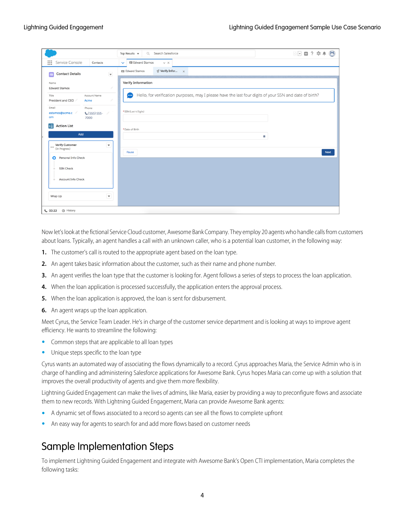|                                                                       | 图 日 ? 京 单 局<br>Search Salesforce<br>Top Results $\blacktriangledown$<br>$\alpha$                                       |
|-----------------------------------------------------------------------|------------------------------------------------------------------------------------------------------------------------|
| ∷<br>Service Console<br>Contacts                                      | <b>国 Edward Stamos</b><br>$\lor\hspace{0.1cm}\times$<br>$\checkmark$                                                   |
| $\overline{\mathbf{v}}$<br><b>Contact Details</b><br>$\mathbf{G}$     | $\subsetneq$ Verify Infor $\times$<br>四 Edward Stamos                                                                  |
| Name<br><b>Edward Stamos</b>                                          | <b>Verify Information</b>                                                                                              |
| Account Name<br>Title<br>President and CEO<br>Acme                    | Hello, for verification purposes, may I please have the last four digits of your SSN and date of birth?<br><b>Good</b> |
| Email<br>Phone<br>estamos@acme.c<br>$C(555) 555 -$<br>,<br>om<br>7000 | * SSN (Last 4 Digits)                                                                                                  |
| <b>Action List</b><br>÷≣<br>Add                                       | * Date of Birth<br>笛                                                                                                   |
| <b>Verify Customer</b><br>$\blacktriangledown$<br>*** (In Progress)   | Pause<br><b>Next</b>                                                                                                   |
| Personal Info Check                                                   |                                                                                                                        |
| <b>SSN Check</b><br>٠                                                 |                                                                                                                        |
| <b>Account Info Check</b><br>$\qquad \qquad \circ$                    |                                                                                                                        |
| Wrap Up                                                               |                                                                                                                        |
| <b>6</b> History<br>00:22                                             |                                                                                                                        |

Now let's look at the fictional Service Cloud customer, Awesome Bank Company. They employ 20 agents who handle calls from customers about loans. Typically, an agent handles a call with an unknown caller, who is a potential loan customer, in the following way:

- **1.** The customer's call is routed to the appropriate agent based on the loan type.
- **2.** An agent takes basic information about the customer, such as their name and phone number.
- **3.** An agent verifies the loan type that the customer is looking for. Agent follows a series of steps to process the loan application.
- **4.** When the loan application is processed successfully, the application enters the approval process.
- **5.** When the loan application is approved, the loan is sent for disbursement.
- **6.** An agent wraps up the loan application.

Meet Cyrus, the Service Team Leader. He's in charge of the customer service department and is looking at ways to improve agent efficiency. He wants to streamline the following:

- **•** Common steps that are applicable to all loan types
- **•** Unique steps specific to the loan type

Cyrus wants an automated way of associating the flows dynamically to a record. Cyrus approaches Maria, the Service Admin who is in charge of handling and administering Salesforce applications for Awesome Bank. Cyrus hopes Maria can come up with a solution that improves the overall productivity of agents and give them more flexibility.

Lightning Guided Engagement can make the lives of admins, like Maria, easier by providing a way to preconfigure flows and associate them to new records. With Lightning Guided Engagement, Maria can provide Awesome Bank agents:

- **•** A dynamic set of flows associated to a record so agents can see all the flows to complete upfront
- **•** An easy way for agents to search for and add more flows based on customer needs

### Sample Implementation Steps

To implement Lightning Guided Engagement and integrate with Awesome Bank's Open CTI implementation, Maria completes the following tasks: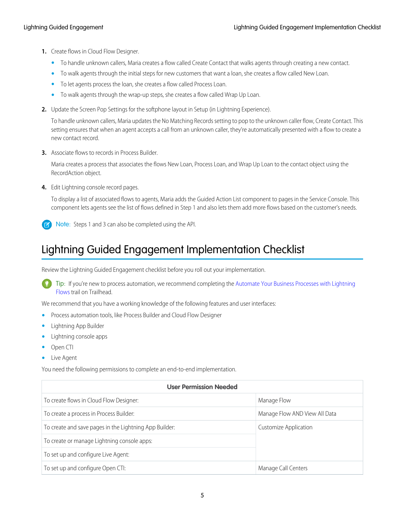- **1.** Create flows in Cloud Flow Designer.
	- **•** To handle unknown callers, Maria creates a flow called Create Contact that walks agents through creating a new contact.
	- **•** To walk agents through the initial steps for new customers that want a loan, she creates a flow called New Loan.
	- **•** To let agents process the loan, she creates a flow called Process Loan.
	- **•** To walk agents through the wrap-up steps, she creates a flow called Wrap Up Loan.
- **2.** Update the Screen Pop Settings for the softphone layout in Setup (in Lightning Experience).

To handle unknown callers, Maria updates the No Matching Records setting to pop to the unknown caller flow, Create Contact. This setting ensures that when an agent accepts a call from an unknown caller, they're automatically presented with a flow to create a new contact record.

**3.** Associate flows to records in Process Builder.

Maria creates a process that associates the flows New Loan, Process Loan, and Wrap Up Loan to the contact object using the RecordAction object.

**4.** Edit Lightning console record pages.

To display a list of associated flows to agents, Maria adds the Guided Action List component to pages in the Service Console. This component lets agents see the list of flows defined in Step 1 and also lets them add more flows based on the customer's needs.

<span id="page-8-0"></span>Note: Steps 1 and 3 can also be completed using the API.

### Lightning Guided Engagement Implementation Checklist

Review the Lightning Guided Engagement checklist before you roll out your implementation.

Tip: If you're new to process automation, we recommend completing the [Automate Your Business Processes with Lightning](https://trailhead.salesforce.com/trails/automate_business_processes) [Flows](https://trailhead.salesforce.com/trails/automate_business_processes) trail on Trailhead.

We recommend that you have a working knowledge of the following features and user interfaces:

- **•** Process automation tools, like Process Builder and Cloud Flow Designer
- **•** Lightning App Builder
- **•** Lightning console apps
- **•** Open CTI
- **•** Live Agent

You need the following permissions to complete an end-to-end implementation.

| <b>User Permission Needed</b>                          |                               |  |  |
|--------------------------------------------------------|-------------------------------|--|--|
| To create flows in Cloud Flow Designer:                | Manage Flow                   |  |  |
| To create a process in Process Builder:                | Manage Flow AND View All Data |  |  |
| To create and save pages in the Lightning App Builder: | Customize Application         |  |  |
| To create or manage Lightning console apps:            |                               |  |  |
| To set up and configure Live Agent:                    |                               |  |  |
| To set up and configure Open CTI:                      | Manage Call Centers           |  |  |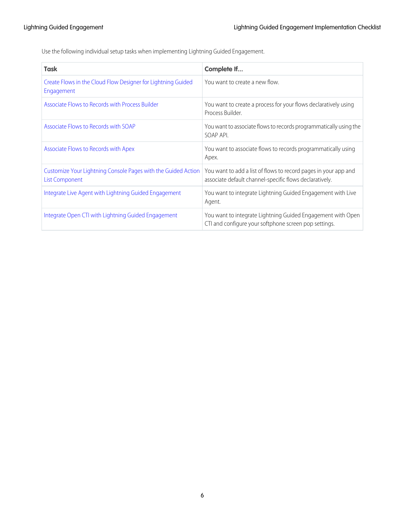Use the following individual setup tasks when implementing Lightning Guided Engagement.

| <b>Task</b>                                                                            | Complete If                                                                                                                |
|----------------------------------------------------------------------------------------|----------------------------------------------------------------------------------------------------------------------------|
| Create Flows in the Cloud Flow Designer for Lightning Guided<br>Engagement             | You want to create a new flow.                                                                                             |
| Associate Flows to Records with Process Builder                                        | You want to create a process for your flows declaratively using<br>Process Builder.                                        |
| Associate Flows to Records with SOAP                                                   | You want to associate flows to records programmatically using the<br>SOAP API.                                             |
| Associate Flows to Records with Apex                                                   | You want to associate flows to records programmatically using<br>Apex.                                                     |
| Customize Your Lightning Console Pages with the Guided Action<br><b>List Component</b> | You want to add a list of flows to record pages in your app and<br>associate default channel-specific flows declaratively. |
| Integrate Live Agent with Lightning Guided Engagement                                  | You want to integrate Lightning Guided Engagement with Live<br>Agent.                                                      |
| Integrate Open CTI with Lightning Guided Engagement                                    | You want to integrate Lightning Guided Engagement with Open<br>CTI and configure your softphone screen pop settings.       |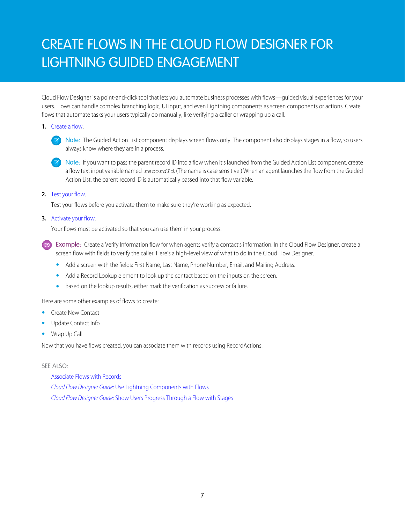# <span id="page-10-0"></span>CREATE FLOWS IN THE CLOUD FLOW DESIGNER FOR LIGHTNING GUIDED ENGAGEMENT

Cloud Flow Designer is a point-and-click tool that lets you automate business processes with flows—guided visual experiences for your users. Flows can handle complex branching logic, UI input, and even Lightning components as screen components or actions. Create flows that automate tasks your users typically do manually, like verifying a caller or wrapping up a call.

### **1.** [Create a flow.](https://help.salesforce.com/articleView?id=vpm_designer_flow_create.htm&language=en_US)



Note: If you want to pass the parent record ID into a flow when it's launched from the Guided Action List component, create a flow text input variable named *recordId*. (The name is case sensitive.) When an agent launches the flow from the Guided Action List, the parent record ID is automatically passed into that flow variable.

### **2.** [Test your flow](https://help.salesforce.com/articleView?id=vpm_admin_test.htm&language=en_US).

Test your flows before you activate them to make sure they're working as expected.

### **3.** [Activate your flow](https://help.salesforce.com/articleView?id=vpm_admin_activate.htm&language=en_US).

Your flows must be activated so that you can use them in your process.

Example: Create a Verify Information flow for when agents verify a contact's information. In the Cloud Flow Designer, create a screen flow with fields to verify the caller. Here's a high-level view of what to do in the Cloud Flow Designer.

- **•** Add a screen with the fields: First Name, Last Name, Phone Number, Email, and Mailing Address.
- **•** Add a Record Lookup element to look up the contact based on the inputs on the screen.
- **•** Based on the lookup results, either mark the verification as success or failure.

Here are some other examples of flows to create:

- **•** Create New Contact
- **•** Update Contact Info
- **•** Wrap Up Call

Now that you have flows created, you can associate them with records using RecordActions.

### SEE ALSO:

[Associate Flows with Records](#page-11-0) Cloud Flow Designer Guide[: Use Lightning Components with Flows](https://developer.salesforce.com/docs/atlas.en-us.214.0.lightning.meta/lightning/components_using_flow.htm) Cloud Flow Designer Guide[: Show Users Progress Through a Flow with Stages](https://developer.salesforce.com/docs/atlas.en-us.214.0.salesforce_vpm_guide.meta/salesforce_vpm_guide/vpm_stages.htm)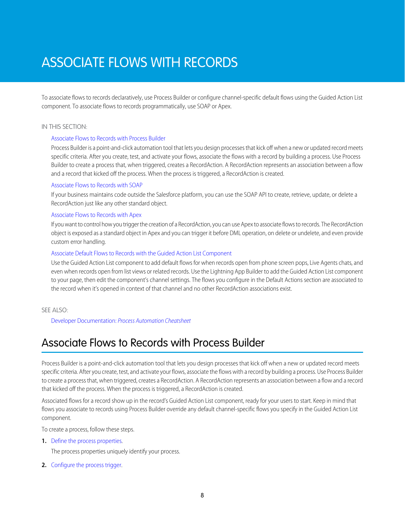# <span id="page-11-0"></span>ASSOCIATE FLOWS WITH RECORDS

To associate flows to records declaratively, use Process Builder or configure channel-specific default flows using the Guided Action List component. To associate flows to records programmatically, use SOAP or Apex.

#### IN THIS SECTION:

### [Associate Flows to Records with Process Builder](#page-11-1)

Process Builder is a point-and-click automation tool that lets you design processes that kick off when a new or updated record meets specific criteria. After you create, test, and activate your flows, associate the flows with a record by building a process. Use Process Builder to create a process that, when triggered, creates a RecordAction. A RecordAction represents an association between a flow and a record that kicked off the process. When the process is triggered, a RecordAction is created.

### [Associate Flows to Records with SOAP](#page-14-0)

If your business maintains code outside the Salesforce platform, you can use the SOAP API to create, retrieve, update, or delete a RecordAction just like any other standard object.

### [Associate Flows to Records with Apex](#page-14-1)

If you want to control how you trigger the creation of a RecordAction, you can use Apex to associate flows to records. The RecordAction object is exposed as a standard object in Apex and you can trigger it before DML operation, on delete or undelete, and even provide custom error handling.

#### [Associate Default Flows to Records with the Guided Action List Component](#page-15-0)

Use the Guided Action List component to add default flows for when records open from phone screen pops, Live Agents chats, and even when records open from list views or related records. Use the Lightning App Builder to add the Guided Action List component to your page, then edit the component's channel settings. The flows you configure in the Default Actions section are associated to the record when it's opened in context of that channel and no other RecordAction associations exist.

### <span id="page-11-1"></span>SEE ALSO:

Developer Documentation: [Process Automation Cheatsheet](https://resources.docs.salesforce.com/rel1/doc/en-us/static/pdf/SF_Process_Automation_cheatsheet_web.pdf)

### Associate Flows to Records with Process Builder

Process Builder is a point-and-click automation tool that lets you design processes that kick off when a new or updated record meets specific criteria. After you create, test, and activate your flows, associate the flows with a record by building a process. Use Process Builder to create a process that, when triggered, creates a RecordAction. A RecordAction represents an association between a flow and a record that kicked off the process. When the process is triggered, a RecordAction is created.

Associated flows for a record show up in the record's Guided Action List component, ready for your users to start. Keep in mind that flows you associate to records using Process Builder override any default channel-specific flows you specify in the Guided Action List component.

To create a process, follow these steps.

**1.** [Define the process properties](https://help.salesforce.com/articleView?id=process_properties.htm&language=en_US).

The process properties uniquely identify your process.

**2.** [Configure the process trigger](https://help.salesforce.com/articleView?id=process_start.htm&language=en_US).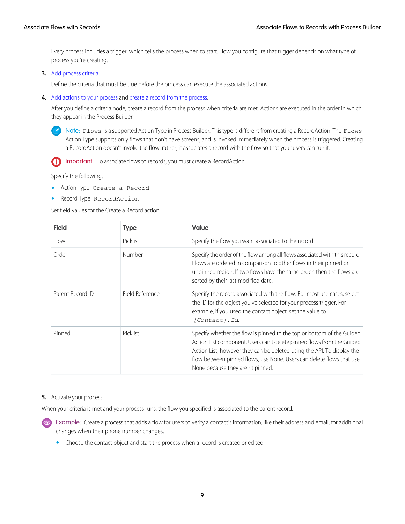Every process includes a trigger, which tells the process when to start. How you configure that trigger depends on what type of process you're creating.

**3.** [Add process criteria.](https://help.salesforce.com/articleView?id=process_criteria.htm&language=en_US)

Define the criteria that must be true before the process can execute the associated actions.

**4.** [Add actions to your process](https://help.salesforce.com/articleView?id=process_action.htm&language=en_US) and [create a record from the process](https://help.salesforce.com/articleView?id=process_action_create.htm&language=en_US).

After you define a criteria node, create a record from the process when criteria are met. Actions are executed in the order in which they appear in the Process Builder.

Note: Flows is a supported Action Type in Process Builder. This type is different from creating a RecordAction. The Flows Action Type supports only flows that don't have screens, and is invoked immediately when the process is triggered. Creating a RecordAction doesn't invoke the flow; rather, it associates a record with the flow so that your users can run it.



Specify the following.

- **•** Action Type: Create a Record
- **•** Record Type: RecordAction

Set field values for the Create a Record action.

| <b>Field</b>     | <b>Type</b>     | <b>Value</b>                                                                                                                                                                                                                                                                                                                          |
|------------------|-----------------|---------------------------------------------------------------------------------------------------------------------------------------------------------------------------------------------------------------------------------------------------------------------------------------------------------------------------------------|
| Flow             | Picklist        | Specify the flow you want associated to the record.                                                                                                                                                                                                                                                                                   |
| Order            | Number          | Specify the order of the flow among all flows associated with this record.<br>Flows are ordered in comparison to other flows in their pinned or<br>unpinned region. If two flows have the same order, then the flows are<br>sorted by their last modified date.                                                                       |
| Parent Record ID | Field Reference | Specify the record associated with the flow. For most use cases, select<br>the ID for the object you've selected for your process trigger. For<br>example, if you used the contact object, set the value to<br>[Contact]. Id.                                                                                                         |
| Pinned           | Picklist        | Specify whether the flow is pinned to the top or bottom of the Guided<br>Action List component. Users can't delete pinned flows from the Guided<br>Action List, however they can be deleted using the API. To display the<br>flow between pinned flows, use None. Users can delete flows that use<br>None because they aren't pinned. |

### **5.** Activate your process.

When your criteria is met and your process runs, the flow you specified is associated to the parent record.

Example: Create a process that adds a flow for users to verify a contact's information, like their address and email, for additional changes when their phone number changes.

**•** Choose the contact object and start the process when a record is created or edited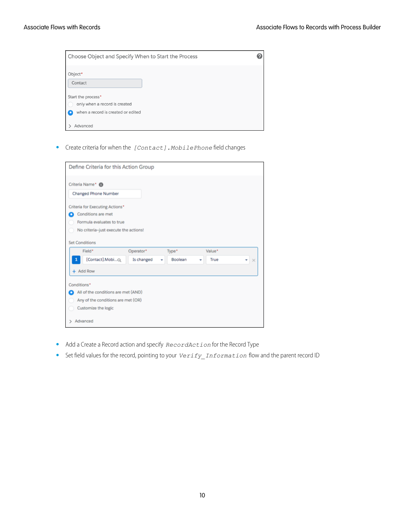| Choose Object and Specify When to Start the Process                                       | 0 |
|-------------------------------------------------------------------------------------------|---|
| Object*<br>Contact                                                                        |   |
| Start the process*<br>only when a record is created<br>when a record is created or edited |   |
| Advanced                                                                                  |   |

**•** Create criteria for when the *[Contact].MobilePhone* field changes

|                                     | Define Criteria for this Action Group |         |        |               |
|-------------------------------------|---------------------------------------|---------|--------|---------------|
| Criteria Name* <sup>1</sup>         |                                       |         |        |               |
| <b>Changed Phone Number</b>         |                                       |         |        |               |
| Criteria for Executing Actions*     |                                       |         |        |               |
| Conditions are met                  |                                       |         |        |               |
| Formula evaluates to true           |                                       |         |        |               |
|                                     | No criteria-just execute the actions! |         |        |               |
| <b>Set Conditions</b>               |                                       |         |        |               |
| Field*                              | Operator*                             | Type*   | Value* |               |
| [Contact].MobiQ<br>1                | Is changed                            | Boolean | True   | ٠<br>$\times$ |
| + Add Row                           |                                       |         |        |               |
| Conditions*                         |                                       |         |        |               |
| All of the conditions are met (AND) |                                       |         |        |               |
|                                     | Any of the conditions are met (OR)    |         |        |               |
|                                     |                                       |         |        |               |
| Customize the logic                 |                                       |         |        |               |

- **•** Add a Create a Record action and specify *RecordAction* for the Record Type
- **•** Set field values for the record, pointing to your *Verify\_Information* flow and the parent record ID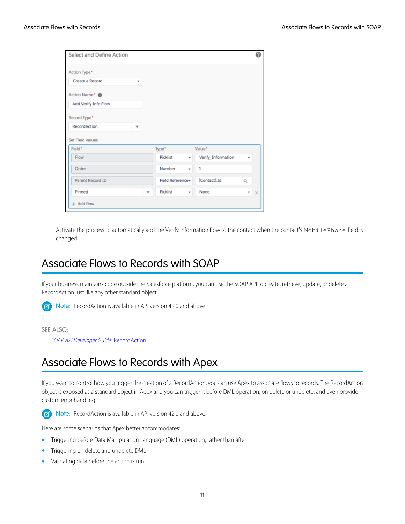| Value*                                              |
|-----------------------------------------------------|
| Verify_Information<br>$\overline{\phantom{a}}$<br>٠ |
| 1<br>٠                                              |
|                                                     |
| [Contact].Id<br>Field Reference-<br>$\hbox{O}_c$    |
|                                                     |

<span id="page-14-0"></span>Activate the process to automatically add the Verify Information flow to the contact when the contact's MobilePhone field is changed.

### Associate Flows to Records with SOAP

If your business maintains code outside the Salesforce platform, you can use the SOAP API to create, retrieve, update, or delete a RecordAction just like any other standard object.

Note: RecordAction is available in API version 42.0 and above.  $\mathbb{Z}^r$ 

#### <span id="page-14-1"></span>SEE ALSO:

[SOAP API Developer Guide](https://developer.salesforce.com/docs/atlas.en-us.214.0.api.meta/api/sforce_api_objects_recordaction.htm): RecordAction

### Associate Flows to Records with Apex

If you want to control how you trigger the creation of a RecordAction, you can use Apex to associate flows to records. The RecordAction object is exposed as a standard object in Apex and you can trigger it before DML operation, on delete or undelete, and even provide custom error handling.



Note: RecordAction is available in API version 42.0 and above.

Here are some scenarios that Apex better accommodates:

- **•** Triggering before Data Manipulation Language (DML) operation, rather than after
- **•** Triggering on delete and undelete DML
- **•** Validating data before the action is run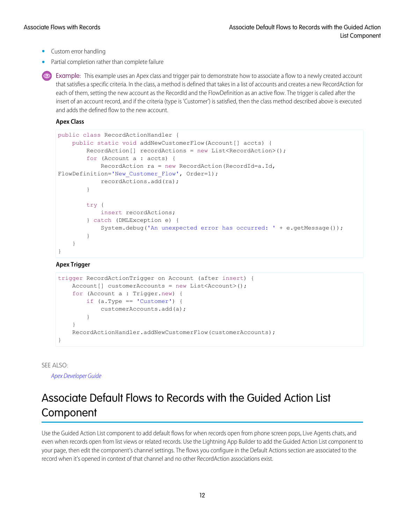- **•** Custom error handling
- **•** Partial completion rather than complete failure

**Example:** This example uses an Apex class and trigger pair to demonstrate how to associate a flow to a newly created account that satisfies a specific criteria. In the class, a method is defined that takes in a list of accounts and creates a new RecordAction for each of them, setting the new account as the RecordId and the FlowDefinition as an active flow. The trigger is called after the insert of an account record, and if the criteria (type is 'Customer') is satisfied, then the class method described above is executed and adds the defined flow to the new account.

**Apex Class**

```
public class RecordActionHandler {
   public static void addNewCustomerFlow(Account[] accts) {
        RecordAction[] recordActions = new List<RecordAction>();
        for (Account a : accts) {
            RecordAction ra = new RecordAction(RecordId=a.Id,
FlowDefinition='New Customer Flow', Order=1);
            recordActions.add(ra);
        }
        try {
            insert recordActions;
        } catch (DMLException e) {
            System.debug('An unexpected error has occurred: ' + e.getMessage());
        }
    }
}
```
### **Apex Trigger**

```
trigger RecordActionTrigger on Account (after insert) {
   Account[] customerAccounts = new List \le Account>();for (Account a : Trigger.new) {
        if (a.Type == 'Customer') {
           customerAccounts.add(a);
        }
    }
   RecordActionHandler.addNewCustomerFlow(customerAccounts);
}
```
<span id="page-15-0"></span>SEE ALSO:

[Apex Developer Guide](https://developer.salesforce.com/docs/atlas.en-us.214.0.apexcode.meta/apexcode/apex_dev_guide.htm)

### Associate Default Flows to Records with the Guided Action List **Component**

Use the Guided Action List component to add default flows for when records open from phone screen pops, Live Agents chats, and even when records open from list views or related records. Use the Lightning App Builder to add the Guided Action List component to your page, then edit the component's channel settings. The flows you configure in the Default Actions section are associated to the record when it's opened in context of that channel and no other RecordAction associations exist.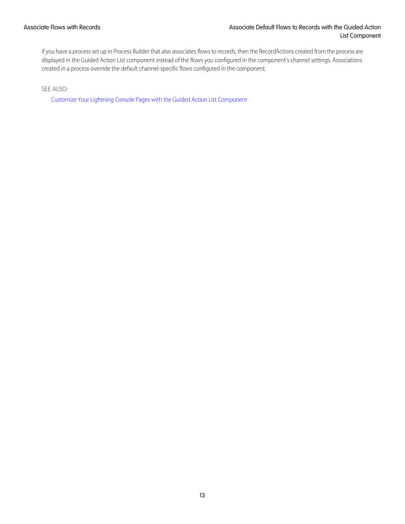If you have a process set up in Process Builder that also associates flows to records, then the RecordActions created from the process are displayed in the Guided Action List component instead of the flows you configured in the component's channel settings. Associations created in a process override the default channel-specific flows configured in the component.

SEE ALSO:

[Customize Your Lightning Console Pages with the Guided Action List Component](#page-17-0)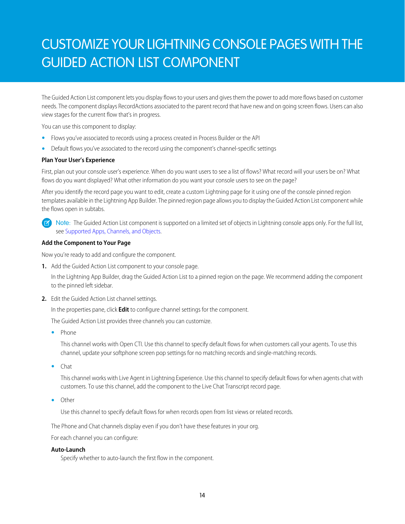# <span id="page-17-0"></span>CUSTOMIZE YOUR LIGHTNING CONSOLE PAGES WITH THE GUIDED ACTION LIST COMPONENT

The Guided Action List component lets you display flows to your users and gives them the power to add more flows based on customer needs. The component displays RecordActions associated to the parent record that have new and on going screen flows. Users can also view stages for the current flow that's in progress.

You can use this component to display:

- **•** Flows you've associated to records using a process created in Process Builder or the API
- **•** Default flows you've associated to the record using the component's channel-specific settings

### **Plan Your User's Experience**

First, plan out your console user's experience. When do you want users to see a list of flows? What record will your users be on? What flows do you want displayed? What other information do you want your console users to see on the page?

After you identify the record page you want to edit, create a custom Lightning page for it using one of the console pinned region templates available in the Lightning App Builder. The pinned region page allows you to display the Guided Action List component while the flows open in subtabs.

Note: The Guided Action List component is supported on a limited set of objects in Lightning console apps only. For the full list,  $\mathbb{Z}$ see [Supported Apps, Channels, and Objects.](#page-5-0)

### **Add the Component to Your Page**

Now you're ready to add and configure the component.

**1.** Add the Guided Action List component to your console page.

In the Lightning App Builder, drag the Guided Action List to a pinned region on the page. We recommend adding the component to the pinned left sidebar.

**2.** Edit the Guided Action List channel settings.

In the properties pane, click **Edit** to configure channel settings for the component.

The Guided Action List provides three channels you can customize.

**•** Phone

This channel works with Open CTI. Use this channel to specify default flows for when customers call your agents. To use this channel, update your softphone screen pop settings for no matching records and single-matching records.

**•** Chat

This channel works with Live Agent in Lightning Experience. Use this channel to specify default flows for when agents chat with customers. To use this channel, add the component to the Live Chat Transcript record page.

**•** Other

Use this channel to specify default flows for when records open from list views or related records.

The Phone and Chat channels display even if you don't have these features in your org.

For each channel you can configure:

### **Auto-Launch**

Specify whether to auto-launch the first flow in the component.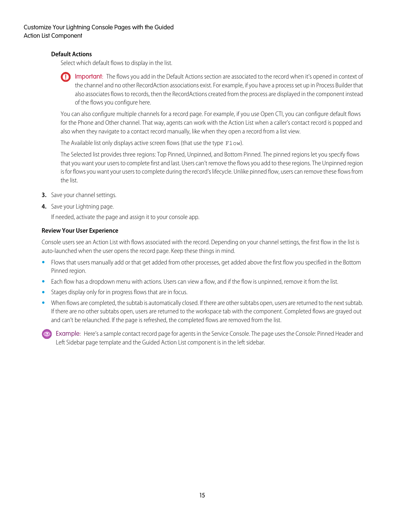### **Default Actions**

Select which default flows to display in the list.

Important: The flows you add in the Default Actions section are associated to the record when it's opened in context of the channel and no other RecordAction associations exist. For example, if you have a process set up in Process Builder that also associates flows to records, then the RecordActions created from the process are displayed in the component instead of the flows you configure here.

You can also configure multiple channels for a record page. For example, if you use Open CTI, you can configure default flows for the Phone and Other channel. That way, agents can work with the Action List when a caller's contact record is popped and also when they navigate to a contact record manually, like when they open a record from a list view.

The Available list only displays active screen flows (that use the type Flow).

The Selected list provides three regions: Top Pinned, Unpinned, and Bottom Pinned. The pinned regions let you specify flows that you want your users to complete first and last. Users can't remove the flows you add to these regions. The Unpinned region is for flows you want your users to complete during the record's lifecycle. Unlike pinned flow, users can remove these flows from the list.

- **3.** Save your channel settings.
- **4.** Save your Lightning page.

If needed, activate the page and assign it to your console app.

### **Review Your User Experience**

Console users see an Action List with flows associated with the record. Depending on your channel settings, the first flow in the list is auto-launched when the user opens the record page. Keep these things in mind.

- **•** Flows that users manually add or that get added from other processes, get added above the first flow you specified in the Bottom Pinned region.
- **•** Each flow has a dropdown menu with actions. Users can view a flow, and if the flow is unpinned, remove it from the list.
- **•** Stages display only for in progress flows that are in focus.
- When flows are completed, the subtab is automatically closed. If there are other subtabs open, users are returned to the next subtab. If there are no other subtabs open, users are returned to the workspace tab with the component. Completed flows are grayed out and can't be relaunched. If the page is refreshed, the completed flows are removed from the list.

Example: Here's a sample contact record page for agents in the Service Console. The page uses the Console: Pinned Header and Left Sidebar page template and the Guided Action List component is in the left sidebar.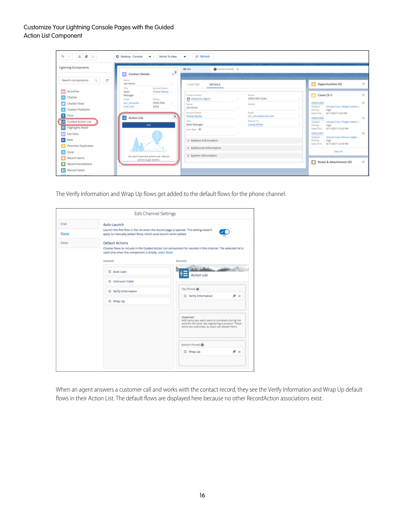### Customize Your Lightning Console Pages with the Guided Action List Component

| $\mathfrak{H}\otimes\mathbb{R}\otimes\mathbb{R}$                                                                                                                  | C <sup>#</sup> Refresh<br>D Desktop - Console<br>Shrink To View<br>$\mathbf{v}$<br>v                                                                                                                                                                                                                                                                                                                                    |                                                                                                                                                                                                                                                                                                                                                                                                                               |
|-------------------------------------------------------------------------------------------------------------------------------------------------------------------|-------------------------------------------------------------------------------------------------------------------------------------------------------------------------------------------------------------------------------------------------------------------------------------------------------------------------------------------------------------------------------------------------------------------------|-------------------------------------------------------------------------------------------------------------------------------------------------------------------------------------------------------------------------------------------------------------------------------------------------------------------------------------------------------------------------------------------------------------------------------|
| <b>Lightning Components</b>                                                                                                                                       | Sample Subtab X<br>ED Jon<br>$\ddot{\phantom{a}}$<br><b>Contact Details</b>                                                                                                                                                                                                                                                                                                                                             |                                                                                                                                                                                                                                                                                                                                                                                                                               |
| Search components<br>$\mathcal{C}$<br>$Q_{\rm c}$ .                                                                                                               | Name<br>Jon Amos<br>CHATTER<br>DETAILS<br>Title<br>Account Name                                                                                                                                                                                                                                                                                                                                                         | $\pmb{\mathrm{v}}$<br>Opportunities (0)                                                                                                                                                                                                                                                                                                                                                                                       |
| <b>NT</b> Activities<br>Chatter<br>Chatter Feed<br>Chatter Publisher<br>Flow<br>Guided Action List<br>⊟<br><b>Highlights Panel</b><br>II List View<br><b>Path</b> | Global Media<br>Sales<br>Contact Owner<br>Phone<br>Manager<br><b>PS</b> Awesome Agent<br>(555) 555-1234<br>Ernall<br>Phone<br>$(555)$ 555-<br>jon_amos@a<br>Name<br>Mobile<br>1234<br>cme.com<br>Jon Amos<br>Account Name<br>Email<br><b>Global Media</b><br>jon_amos@acme.com<br>疆<br><b>Action List</b><br>Reports To<br>Title<br>Sales Manager<br>Carole White<br>Add<br>Loan Type <b>O</b><br>> Address Information | $\overline{\mathbf{v}}$<br>$\Box$ Cases (3+)<br>$\pmb{\mathrm{v}}$<br>00001009<br>Sample Case: Widget breaks a<br>Subject:<br>Priority:<br>High<br>Date/Tim., 8/7/2017 1:02 PM<br>$\overline{\phantom{a}}$<br>00001008<br>Sample Case: Widget makes n<br>Subject:<br>Priority:<br>High<br>Date/Tim., 8/7/2017 12:53 PM<br>$\overline{\phantom{a}}$<br>00001007<br>Sample Case: Deluxe widget<br>Subject:<br>High<br>Priority: |
| <b>R</b> Potential Duplicates<br><b>R</b> Quip<br>Recent Items<br>Recommendations<br>п<br>Record Detail                                                           | > Additional Information<br>> System Information<br>You don't have any actions yet. Add an<br>action to get started.                                                                                                                                                                                                                                                                                                    | Date/Tim 8/7/2017 12:49 PM<br>View All<br>$\pmb{\mathrm{v}}$<br>о<br>Notes & Attachments (0)                                                                                                                                                                                                                                                                                                                                  |

The Verify Information and Wrap Up flows get added to the default flows for the phone channel.

|               | <b>Edit Channel Settings</b>                                                |                                                                                                                                                                        |
|---------------|-----------------------------------------------------------------------------|------------------------------------------------------------------------------------------------------------------------------------------------------------------------|
| Chat<br>Phone | Auto-Launch<br>apply to manually added flows, which auto-launch when added. | Launch the first flow in the list when the record page is opened. This setting doesn't                                                                                 |
| Other         | <b>Default Actions</b><br>used only when the component is empty. Learn More | Choose flows to include in the Guided Action List component for records in this channel. The selected list is                                                          |
|               | Available                                                                   | Selected                                                                                                                                                               |
|               | $\equiv$ Auto Loan                                                          | بلطائك<br>$? =$<br><b>Action List</b>                                                                                                                                  |
|               | Unknown Caller                                                              |                                                                                                                                                                        |
|               | $\equiv$ Verify Information                                                 | Top Pinned ®                                                                                                                                                           |
|               | ≡ Wrap Up                                                                   | $\equiv$ Verify Information<br>* ×                                                                                                                                     |
|               |                                                                             | Unpinned<br>Add items you want users to complete during the<br>record's life cycle, like registering a product. These<br>items are unpinned, so users can delete them. |
|               |                                                                             | Bottom Pinned                                                                                                                                                          |
|               |                                                                             | * ×<br>$\equiv$ Wrap Up                                                                                                                                                |
|               |                                                                             |                                                                                                                                                                        |

When an agent answers a customer call and works with the contact record, they see the Verify Information and Wrap Up default flows in their Action List. The default flows are displayed here because no other RecordAction associations exist.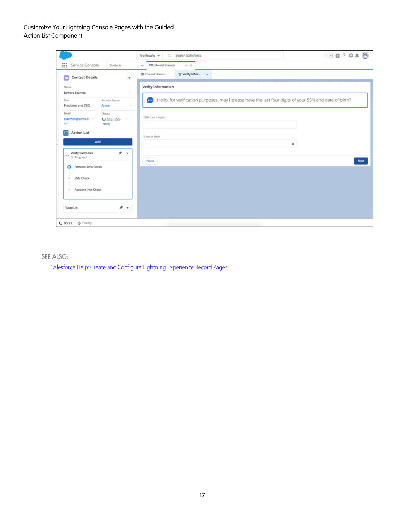### Customize Your Lightning Console Pages with the Guided Action List Component

|                                                                      | 图 日 ? 卒 单 局<br>Q Search Salesforce<br>Top Results $\mathbf w$                                                     |
|----------------------------------------------------------------------|-------------------------------------------------------------------------------------------------------------------|
| ∷<br>Service Console<br>Contacts                                     | ED Edward Stamos<br>$\vee$ $\times$<br>$\checkmark$                                                               |
| $\overline{\mathbf{v}}$<br><b>Contact Details</b><br>$\mathbb{R}$    | $\leq$ Verify Infor $\times$<br><b>ED Edward Stamos</b>                                                           |
| Name<br><b>Edward Stamos</b>                                         | <b>Verify Information</b>                                                                                         |
| Account Name<br>Title<br>President and CEO<br>Acme                   | Hello, for verification purposes, may I please have the last four digits of your SSN and date of birth?<br>$\sim$ |
| Email<br>Phone<br>estamos@acme.c<br>$C(555)$ 555-<br>s<br>om<br>7000 | * SSN (Last 4 Digits)                                                                                             |
| <b>Action List</b><br>挂<br>Add                                       | * Date of Birth<br>a.                                                                                             |
| オマ<br>Verify Customer<br>111<br>(In Progress)                        | Pause<br>Next                                                                                                     |
| Personal Info Check<br>O                                             |                                                                                                                   |
| <b>SSN Check</b>                                                     |                                                                                                                   |
| Account Info Check<br>$\frac{1}{2}$                                  |                                                                                                                   |
| オマ<br>Wrap Up                                                        |                                                                                                                   |
| <b>B</b> History<br>$C = 00:22$                                      |                                                                                                                   |

### SEE ALSO:

[Salesforce Help: Create and Configure Lightning Experience Record Pages](https://help.salesforce.com/articleView?id=lightning_app_builder_customize_lex_pages.htm&language=en_US)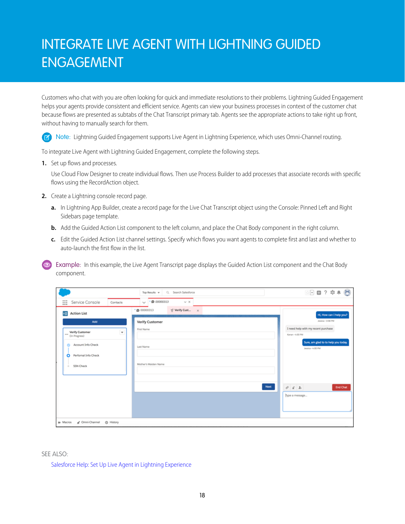# <span id="page-21-0"></span>INTEGRATE LIVE AGENT WITH LIGHTNING GUIDED ENGAGEMENT

Customers who chat with you are often looking for quick and immediate resolutions to their problems. Lightning Guided Engagement helps your agents provide consistent and efficient service. Agents can view your business processes in context of the customer chat because flows are presented as subtabs of the Chat Transcript primary tab. Agents see the appropriate actions to take right up front, without having to manually search for them.

Note: Lightning Guided Engagement supports Live Agent in Lightning Experience, which uses Omni-Channel routing.  $\mathbf{Z}$ 

To integrate Live Agent with Lightning Guided Engagement, complete the following steps.

**1.** Set up flows and processes.

Use Cloud Flow Designer to create individual flows. Then use Process Builder to add processes that associate records with specific flows using the RecordAction object.

- **2.** Create a Lightning console record page.
	- **a.** In Lightning App Builder, create a record page for the Live Chat Transcript object using the Console: Pinned Left and Right Sidebars page template.
	- **b.** Add the Guided Action List component to the left column, and place the Chat Body component in the right column.
	- **c.** Edit the Guided Action List channel settings. Specify which flows you want agents to complete first and last and whether to auto-launch the first flow in the list.

**Example:** In this example, the Live Agent Transcript page displays the Guided Action List component and the Chat Body component.

|                                                                                                                                                                                                                                                                | Q. Search Salesforce<br>Top Results v                                                                                           | ☆□■? 卒 ● ◎                                                                                                                                                                                                                                                             |
|----------------------------------------------------------------------------------------------------------------------------------------------------------------------------------------------------------------------------------------------------------------|---------------------------------------------------------------------------------------------------------------------------------|------------------------------------------------------------------------------------------------------------------------------------------------------------------------------------------------------------------------------------------------------------------------|
| ∷<br>Service Console<br>Contacts                                                                                                                                                                                                                               | $\cdot$ © 00000313<br>$\vee$ $\times$<br>$\sim$                                                                                 |                                                                                                                                                                                                                                                                        |
| ¢Ξ<br><b>Action List</b><br>Add<br><b>Verify Customer</b><br>$\mathbf{v}$<br>$$<br>└<br>(In Progress)<br>Account Info Check<br>۵<br>Perfornal Info Check<br>$\circ$<br><b>SSN Check</b><br>$\frac{1}{2} \left( \frac{1}{2} \right) \left( \frac{1}{2} \right)$ | ≤ Verify Cust<br>· @ 00000313<br>$\propto$<br><b>Verify Customer</b><br>First Name<br>Last Name<br>Mother's Maiden Name<br>Next | Hi, How can I help you?<br>Jessica - 3:58 PM<br>I need help with my recent purchase<br>Kanan - 4:00 PM<br>Sure, am glad to to help you today.<br>Jessica - 4:00 PM<br>$\begin{array}{ccc}\n\phi & \pounds & \pounds\n\end{array}$<br><b>End Chat</b><br>Type a message |
| d' Omni-Channel<br>x Macros<br><b><i>Q</i></b> History                                                                                                                                                                                                         |                                                                                                                                 |                                                                                                                                                                                                                                                                        |

SEE ALSO:

[Salesforce Help: Set Up Live Agent in Lightning Experience](https://help.salesforce.com/articleView?id=live_agent_intro_lightning.htm&language=en_US)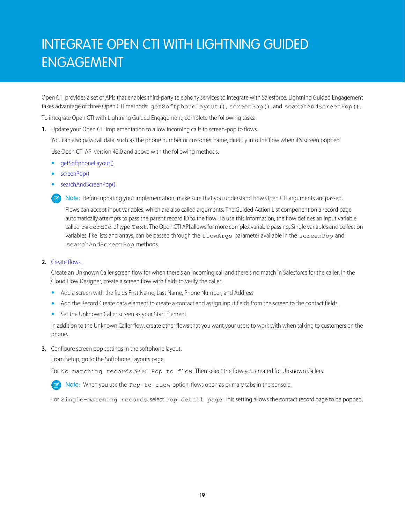# <span id="page-22-0"></span>INTEGRATE OPEN CTI WITH LIGHTNING GUIDED ENGAGEMENT

Open CTI provides a set of APIs that enables third-party telephony services to integrate with Salesforce. Lightning Guided Engagement takes advantage of three Open CTI methods: getSoftphoneLayout(), screenPop(), and searchAndScreenPop().

To integrate Open CTI with Lightning Guided Engagement, complete the following tasks:

**1.** Update your Open CTI implementation to allow incoming calls to screen-pop to flows.

You can also pass call data, such as the phone number or customer name, directly into the flow when it's screen popped.

Use Open CTI API version 42.0 and above with the following methods.

- **•** [getSoftphoneLayout\(\)](https://developer.salesforce.com/docs/atlas.en-us.214.0.api_cti.meta/api_cti/sforce_api_cti_getsoftphonelayout_lex.htm)
- **•** [screenPop\(\)](https://developer.salesforce.com/docs/atlas.en-us.214.0.api_cti.meta/api_cti/sforce_api_cti_screenpop_lex.htm)
- **•** [searchAndScreenPop\(\)](https://developer.salesforce.com/docs/atlas.en-us.214.0.api_cti.meta/api_cti/sforce_api_cti_searchandscreenpop_lex.htm)

Note: Before updating your implementation, make sure that you understand how Open CTI arguments are passed.

Flows can accept input variables, which are also called arguments. The Guided Action List component on a record page automatically attempts to pass the parent record ID to the flow. To use this information, the flow defines an input variable called recordId of type Text. The Open CTI API allows for more complex variable passing. Single variables and collection variables, like lists and arrays, can be passed through the flowArgs parameter available in the screenPop and searchAndScreenPop methods.

### **2.** [Create flows](#page-10-0).

Create an Unknown Caller screen flow for when there's an incoming call and there's no match in Salesforce for the caller. In the Cloud Flow Designer, create a screen flow with fields to verify the caller.

- **•** Add a screen with the fields First Name, Last Name, Phone Number, and Address.
- **•** Add the Record Create data element to create a contact and assign input fields from the screen to the contact fields.
- **•** Set the Unknown Caller screen as your Start Element.

In addition to the Unknown Caller flow, create other flows that you want your users to work with when talking to customers on the phone.

**3.** Configure screen pop settings in the softphone layout.

From Setup, go to the Softphone Layouts page.

For No matching records, select Pop to flow. Then select the flow you created for Unknown Callers.

Note: When you use the Pop to flow option, flows open as primary tabs in the console.

For Single-matching records, select Pop detail page. This setting allows the contact record page to be popped.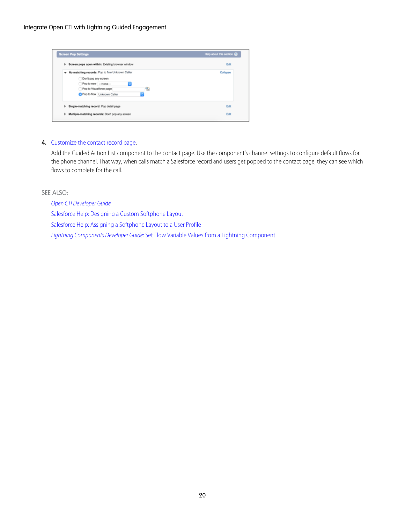| <b>Screen Pop Settings</b>                                                                                                                                            | Help about this section @ |
|-----------------------------------------------------------------------------------------------------------------------------------------------------------------------|---------------------------|
| Screen pops open within: Existing browser window<br>٠                                                                                                                 | Edit                      |
| W No matching records: Pop to flow Unknown Caller<br>Don't pop any screen<br>Pop to new -- None--<br>в<br>Pop to Visualforce page<br>90<br>Pop to flow Unknown Caller | Collapse                  |
| Single-matching record: Pop detail page<br>٠<br>Multiple-matching records: Don't pop any screen<br>٠                                                                  | Edit<br>Edit              |

### **4.** [Customize the contact record page](#page-17-0).

Add the Guided Action List component to the contact page. Use the component's channel settings to configure default flows for the phone channel. That way, when calls match a Salesforce record and users get popped to the contact page, they can see which flows to complete for the call.

SEE ALSO:

[Open CTI Developer Guide](https://developer.salesforce.com/docs/atlas.en-us.214.0.api_cti.meta/api_cti/sforce_api_cti_intro.htm)

[Salesforce Help: Designing a Custom Softphone Layout](https://help.salesforce.com/articleView?id=cti_admin_phonelayoutscreate.htm&language=en_US)

[Salesforce Help: Assigning a Softphone Layout to a User Profile](https://help.salesforce.com/articleView?id=cti_admin_phonelayoutsassign.htm&language=en_US)

Lightning Components Developer Guide[: Set Flow Variable Values from a Lightning Component](https://developer.salesforce.com/docs/atlas.en-us.214.0.lightning.meta/lightning/components_using_flow_inputs_set.htm)